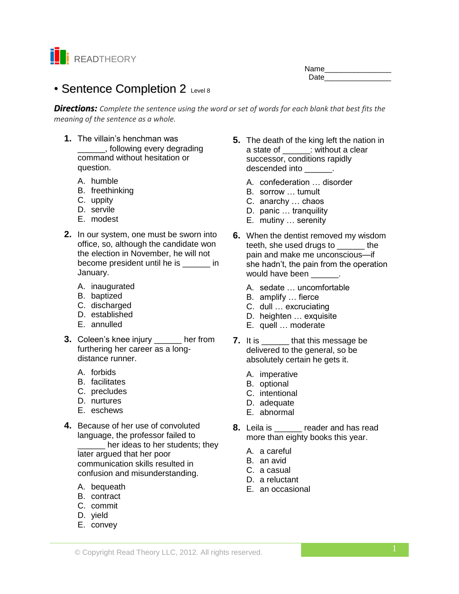

| Name |  |
|------|--|
| Date |  |

# • Sentence Completion 2 Level 8

*Directions: Complete the sentence using the word or set of words for each blank that best fits the meaning of the sentence as a whole.*

- **1.** The villain's henchman was \_\_\_\_\_\_, following every degrading command without hesitation or question.
	- A. humble
	- B. freethinking
	- C. uppity
	- D. servile
	- E. modest
- **2.** In our system, one must be sworn into office, so, although the candidate won the election in November, he will not become president until he is \_\_\_\_\_\_ in January.
	- A. inaugurated
	- B. baptized
	- C. discharged
	- D. established
	- E. annulled
- **3.** Coleen's knee injury \_\_\_\_\_\_ her from furthering her career as a longdistance runner.
	- A. forbids
	- B. facilitates
	- C. precludes
	- D. nurtures
	- E. eschews
- **4.** Because of her use of convoluted language, the professor failed to

her ideas to her students; they later argued that her poor communication skills resulted in confusion and misunderstanding.

- A. bequeath
- B. contract
- C. commit
- D. yield
- E. convey
- **5.** The death of the king left the nation in a state of  $\qquad ::$  without a clear successor, conditions rapidly descended into  $\qquad \qquad$ .
	- A. confederation … disorder
	- B. sorrow … tumult
	- C. anarchy … chaos
	- D. panic … tranquility
	- E. mutiny … serenity
- **6.** When the dentist removed my wisdom teeth, she used drugs to \_\_\_\_\_\_ the pain and make me unconscious—if she hadn't, the pain from the operation would have been \_\_\_\_\_\_.
	- A. sedate … uncomfortable
	- B. amplify … fierce
	- C. dull … excruciating
	- D. heighten … exquisite
	- E. quell … moderate
- **7.** It is \_\_\_\_\_\_\_ that this message be delivered to the general, so be absolutely certain he gets it.
	- A. imperative
	- B. optional
	- C. intentional
	- D. adequate
	- E. abnormal
- **8.** Leila is \_\_\_\_\_\_ reader and has read more than eighty books this year.
	- A. a careful
	- B. an avid
	- C. a casual
	- D. a reluctant
	- E. an occasional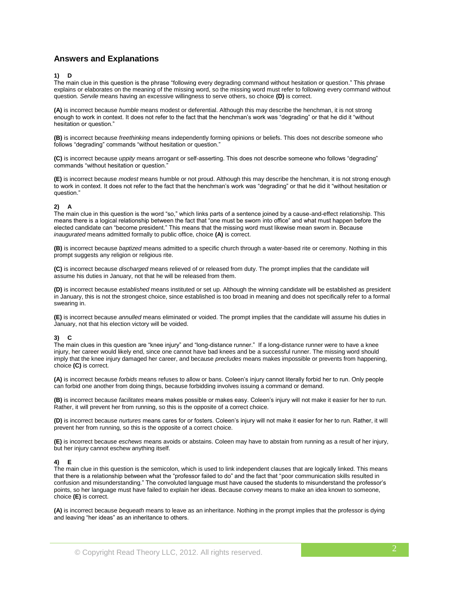# **Answers and Explanations**

### **1) D**

The main clue in this question is the phrase "following every degrading command without hesitation or question." This phrase explains or elaborates on the meaning of the missing word, so the missing word must refer to following every command without question*. Servile* means having an excessive willingness to serve others, so choice **(D)** is correct.

**(A)** is incorrect because *humble* means modest or deferential. Although this may describe the henchman, it is not strong enough to work in context. It does not refer to the fact that the henchman's work was "degrading" or that he did it "without hesitation or question."

**(B)** is incorrect because *freethinking* means independently forming opinions or beliefs. This does not describe someone who follows "degrading" commands "without hesitation or question."

**(C)** is incorrect because *uppity* means arrogant or self-asserting. This does not describe someone who follows "degrading" commands "without hesitation or question."

**(E)** is incorrect because *modest* means humble or not proud. Although this may describe the henchman, it is not strong enough to work in context. It does not refer to the fact that the henchman's work was "degrading" or that he did it "without hesitation or question."

# **2) A**

The main clue in this question is the word "so," which links parts of a sentence joined by a cause-and-effect relationship. This means there is a logical relationship between the fact that "one must be sworn into office" and what must happen before the elected candidate can "become president." This means that the missing word must likewise mean sworn in. Because *inaugurated* means admitted formally to public office, choice **(A)** is correct.

**(B)** is incorrect because *baptized* means admitted to a specific church through a water-based rite or ceremony. Nothing in this prompt suggests any religion or religious rite.

**(C)** is incorrect because *discharged* means relieved of or released from duty. The prompt implies that the candidate will assume his duties in January, not that he will be released from them.

**(D)** is incorrect because *established* means instituted or set up. Although the winning candidate will be established as president in January, this is not the strongest choice, since established is too broad in meaning and does not specifically refer to a formal swearing in.

**(E)** is incorrect because *annulled* means eliminated or voided. The prompt implies that the candidate will assume his duties in January, not that his election victory will be voided.

# **3) C**

The main clues in this question are "knee injury" and "long-distance runner." If a long-distance runner were to have a knee injury, her career would likely end, since one cannot have bad knees and be a successful runner. The missing word should imply that the knee injury damaged her career, and because *precludes* means makes impossible or prevents from happening, choice **(C)** is correct.

**(A)** is incorrect because *forbids* means refuses to allow or bans. Coleen's injury cannot literally forbid her to run. Only people can forbid one another from doing things, because forbidding involves issuing a command or demand.

**(B)** is incorrect because *facilitates* means makes possible or makes easy. Coleen's injury will not make it easier for her to run. Rather, it will prevent her from running, so this is the opposite of a correct choice.

**(D)** is incorrect because *nurtures* means cares for or fosters. Coleen's injury will not make it easier for her to run. Rather, it will prevent her from running, so this is the opposite of a correct choice.

**(E)** is incorrect because *eschews* means avoids or abstains. Coleen may have to abstain from running as a result of her injury, but her injury cannot eschew anything itself.

#### **4) E**

The main clue in this question is the semicolon, which is used to link independent clauses that are logically linked. This means that there is a relationship between what the "professor failed to do" and the fact that "poor communication skills resulted in confusion and misunderstanding." The convoluted language must have caused the students to misunderstand the professor's points, so her language must have failed to explain her ideas. Because *convey* means to make an idea known to someone, choice **(E)** is correct.

**(A)** is incorrect because *bequeath* means to leave as an inheritance. Nothing in the prompt implies that the professor is dying and leaving "her ideas" as an inheritance to others.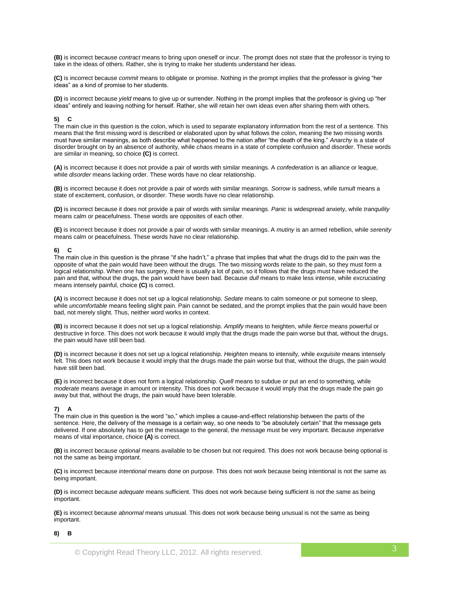**(B)** is incorrect because *contract* means to bring upon oneself or incur. The prompt does not state that the professor is trying to take in the ideas of others. Rather, she is trying to make her students understand her ideas.

**(C)** is incorrect because *commit* means to obligate or promise. Nothing in the prompt implies that the professor is giving "her ideas" as a kind of promise to her students.

**(D)** is incorrect because *yield* means to give up or surrender. Nothing in the prompt implies that the professor is giving up "her ideas" entirely and leaving nothing for herself. Rather, she will retain her own ideas even after sharing them with others.

#### **5) C**

The main clue in this question is the colon, which is used to separate explanatory information from the rest of a sentence. This means that the first missing word is described or elaborated upon by what follows the colon, meaning the two missing words must have similar meanings, as both describe what happened to the nation after "the death of the king." *Anarchy* is a state of disorder brought on by an absence of authority, while *chaos* means in a state of complete confusion and disorder. These words are similar in meaning, so choice **(C)** is correct.

**(A)** is incorrect because it does not provide a pair of words with similar meanings. A *confederation* is an alliance or league, while *disorder* means lacking order. These words have no clear relationship.

**(B)** is incorrect because it does not provide a pair of words with similar meanings. *Sorrow* is sadness, while *tumult* means a state of excitement, confusion, or disorder. These words have no clear relationship.

**(D)** is incorrect because it does not provide a pair of words with similar meanings. *Panic* is widespread anxiety, while *tranquility*  means calm or peacefulness. These words are opposites of each other.

**(E)** is incorrect because it does not provide a pair of words with similar meanings. A *mutiny* is an armed rebellion, while *serenity*  means calm or peacefulness. These words have no clear relationship.

#### **6) C**

The main clue in this question is the phrase "if she hadn't," a phrase that implies that what the drugs did to the pain was the opposite of what the pain would have been without the drugs*.* The two missing words relate to the pain, so they must form a logical relationship. When one has surgery, there is usually a lot of pain, so it follows that the drugs must have reduced the pain and that, without the drugs, the pain would have been bad. Because *dull* means to make less intense, while *excruciating*  means intensely painful, choice **(C)** is correct.

**(A)** is incorrect because it does not set up a logical relationship. *Sedate* means to calm someone or put someone to sleep, while *uncomfortable* means feeling slight pain. Pain cannot be sedated, and the prompt implies that the pain would have been bad, not merely slight. Thus, neither word works in context.

**(B)** is incorrect because it does not set up a logical relationship. *Amplify* means to heighten, while *fierce* means powerful or destructive in force. This does not work because it would imply that the drugs made the pain worse but that, without the drugs, the pain would have still been bad.

**(D)** is incorrect because it does not set up a logical relationship. *Heighten* means to intensify, while *exquisite* means intensely felt. This does not work because it would imply that the drugs made the pain worse but that, without the drugs, the pain would have still been bad.

**(E)** is incorrect because it does not form a logical relationship. *Quell* means to subdue or put an end to something, while *moderate* means average in amount or intensity. This does not work because it would imply that the drugs made the pain go away but that, without the drugs, the pain would have been tolerable.

# $\overline{7}$

The main clue in this question is the word "so," which implies a cause-and-effect relationship between the parts of the sentence*.* Here, the delivery of the message is a certain way, so one needs to "be absolutely certain" that the message gets delivered. If one absolutely has to get the message to the general, the message must be very important. Because *imperative*  means of vital importance, choice **(A)** is correct.

**(B)** is incorrect because *optional* means available to be chosen but not required. This does not work because being optional is not the same as being important.

**(C)** is incorrect because *intentional* means done on purpose. This does not work because being intentional is not the same as being important.

**(D)** is incorrect because *adequate* means sufficient. This does not work because being sufficient is not the same as being important.

**(E)** is incorrect because *abnormal* means unusual. This does not work because being unusual is not the same as being important.

#### **8) B**